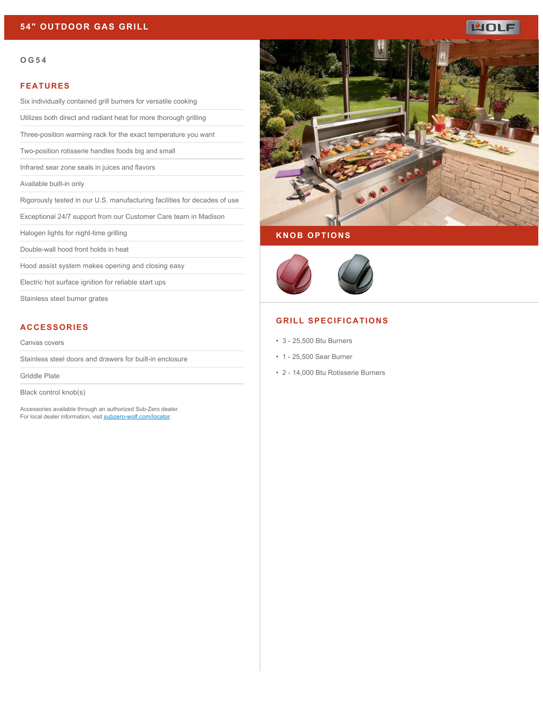# **54" OUTDOOR GAS GRILL**

# ப்ப

#### **OG54**

#### **FEATURES**

Six individually contained grill burners for versatile cooking

Utilizes both direct and radiant heat for more thorough grilling

Three-position warming rack for the exact temperature you want

Two-position rotisserie handles foods big and small

Infrared sear zone seals in juices and flavors

Available built-in only

Rigorously tested in our U.S. manufacturing facilities for decades of use

Exceptional 24/7 support from our Customer Care team in Madison

Halogen lights for night-time grilling

Double-wall hood front holds in heat

Hood assist system makes opening and closing easy

Electric hot surface ignition for reliable start ups

Stainless steel burner grates

# **ACCESSORIES**

Canvas covers

Stainless steel doors and drawers for built-in enclosure

Griddle Plate

Black control knob(s)

Accessories available through an authorized Sub-Zero dealer. For local dealer information, visit [subzero-wolf.com/locator.](http://www.subzero-wolf.com/locator)



#### **KNOB OPTIONS**



## **GRILL SPECIFICATIONS**

- 3 25,500 Btu Burners
- 1 25,500 Sear Burner
- 2 14,000 Btu Rotisserie Burners